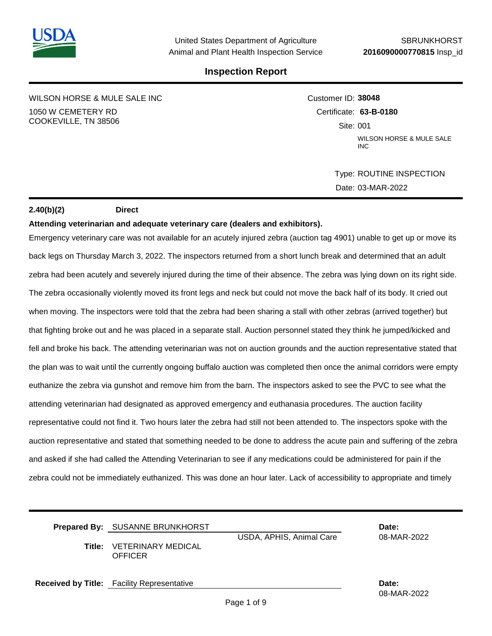

WILSON HORSE & MULE SALE INC 1050 W CEMETERY RD COOKEVILLE, TN 38506

Customer ID: **38048** Certificate: **63-B-0180**  Site: 001 WILSON HORSE & MULE SALE INC

> Type: ROUTINE INSPECTION Date: 03-MAR-2022

### **2.40(b)(2) Direct**

#### **Attending veterinarian and adequate veterinary care (dealers and exhibitors).**

Emergency veterinary care was not available for an acutely injured zebra (auction tag 4901) unable to get up or move its back legs on Thursday March 3, 2022. The inspectors returned from a short lunch break and determined that an adult zebra had been acutely and severely injured during the time of their absence. The zebra was lying down on its right side. The zebra occasionally violently moved its front legs and neck but could not move the back half of its body. It cried out when moving. The inspectors were told that the zebra had been sharing a stall with other zebras (arrived together) but that fighting broke out and he was placed in a separate stall. Auction personnel stated they think he jumped/kicked and fell and broke his back. The attending veterinarian was not on auction grounds and the auction representative stated that the plan was to wait until the currently ongoing buffalo auction was completed then once the animal corridors were empty euthanize the zebra via gunshot and remove him from the barn. The inspectors asked to see the PVC to see what the attending veterinarian had designated as approved emergency and euthanasia procedures. The auction facility representative could not find it. Two hours later the zebra had still not been attended to. The inspectors spoke with the auction representative and stated that something needed to be done to address the acute pain and suffering of the zebra and asked if she had called the Attending Veterinarian to see if any medications could be administered for pain if the zebra could not be immediately euthanized. This was done an hour later. Lack of accessibility to appropriate and timely

| <b>Prepared By: SUSANNE BRUNKHORST</b>             |                          | Date:       |
|----------------------------------------------------|--------------------------|-------------|
| <b>Title: VETERINARY MEDICAL</b><br><b>OFFICER</b> | USDA, APHIS, Animal Care | 08-MAR-2022 |

**Received by Title:** Facility Representative **Date:**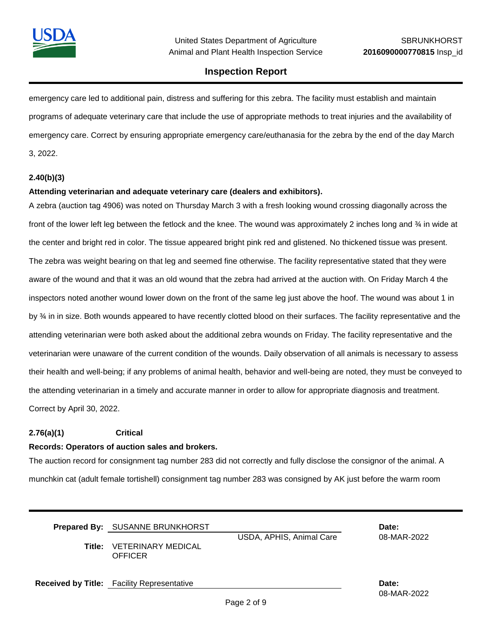

emergency care led to additional pain, distress and suffering for this zebra. The facility must establish and maintain programs of adequate veterinary care that include the use of appropriate methods to treat injuries and the availability of emergency care. Correct by ensuring appropriate emergency care/euthanasia for the zebra by the end of the day March 3, 2022.

### **2.40(b)(3)**

### **Attending veterinarian and adequate veterinary care (dealers and exhibitors).**

A zebra (auction tag 4906) was noted on Thursday March 3 with a fresh looking wound crossing diagonally across the front of the lower left leg between the fetlock and the knee. The wound was approximately 2 inches long and  $\frac{3}{4}$  in wide at the center and bright red in color. The tissue appeared bright pink red and glistened. No thickened tissue was present. The zebra was weight bearing on that leg and seemed fine otherwise. The facility representative stated that they were aware of the wound and that it was an old wound that the zebra had arrived at the auction with. On Friday March 4 the inspectors noted another wound lower down on the front of the same leg just above the hoof. The wound was about 1 in by  $\frac{3}{4}$  in in size. Both wounds appeared to have recently clotted blood on their surfaces. The facility representative and the attending veterinarian were both asked about the additional zebra wounds on Friday. The facility representative and the veterinarian were unaware of the current condition of the wounds. Daily observation of all animals is necessary to assess their health and well-being; if any problems of animal health, behavior and well-being are noted, they must be conveyed to the attending veterinarian in a timely and accurate manner in order to allow for appropriate diagnosis and treatment. Correct by April 30, 2022.

#### **2.76(a)(1) Critical**

#### **Records: Operators of auction sales and brokers.**

The auction record for consignment tag number 283 did not correctly and fully disclose the consignor of the animal. A munchkin cat (adult female tortishell) consignment tag number 283 was consigned by AK just before the warm room

| <b>Prepared By: SUSANNE BRUNKHORST</b>      |                          | Date:       |
|---------------------------------------------|--------------------------|-------------|
| Title: VETERINARY MEDICAL<br><b>OFFICER</b> | USDA, APHIS, Animal Care | 08-MAR-2022 |

**Received by Title:** Facility Representative **Date:**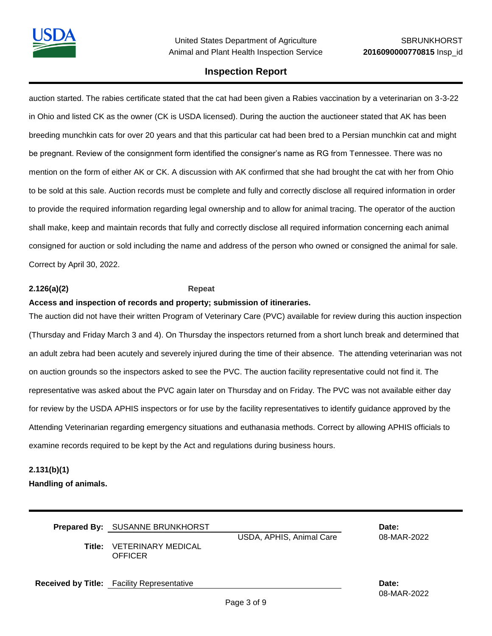auction started. The rabies certificate stated that the cat had been given a Rabies vaccination by a veterinarian on 3-3-22 in Ohio and listed CK as the owner (CK is USDA licensed). During the auction the auctioneer stated that AK has been breeding munchkin cats for over 20 years and that this particular cat had been bred to a Persian munchkin cat and might be pregnant. Review of the consignment form identified the consigner's name as RG from Tennessee. There was no mention on the form of either AK or CK. A discussion with AK confirmed that she had brought the cat with her from Ohio to be sold at this sale. Auction records must be complete and fully and correctly disclose all required information in order to provide the required information regarding legal ownership and to allow for animal tracing. The operator of the auction shall make, keep and maintain records that fully and correctly disclose all required information concerning each animal consigned for auction or sold including the name and address of the person who owned or consigned the animal for sale. Correct by April 30, 2022.

### **2.126(a)(2) Repeat**

### **Access and inspection of records and property; submission of itineraries.**

The auction did not have their written Program of Veterinary Care (PVC) available for review during this auction inspection (Thursday and Friday March 3 and 4). On Thursday the inspectors returned from a short lunch break and determined that an adult zebra had been acutely and severely injured during the time of their absence. The attending veterinarian was not on auction grounds so the inspectors asked to see the PVC. The auction facility representative could not find it. The representative was asked about the PVC again later on Thursday and on Friday. The PVC was not available either day for review by the USDA APHIS inspectors or for use by the facility representatives to identify guidance approved by the Attending Veterinarian regarding emergency situations and euthanasia methods. Correct by allowing APHIS officials to examine records required to be kept by the Act and regulations during business hours.

## **2.131(b)(1)**

**Handling of animals.**

| <b>Prepared By: SUSANNE BRUNKHORST</b><br><b>Title: VETERINARY MEDICAL</b><br><b>OFFICER</b> | Date:<br>08-MAR-2022 |                      |
|----------------------------------------------------------------------------------------------|----------------------|----------------------|
| <b>Received by Title:</b> Facility Representative                                            |                      | Date:<br>08-MAR-2022 |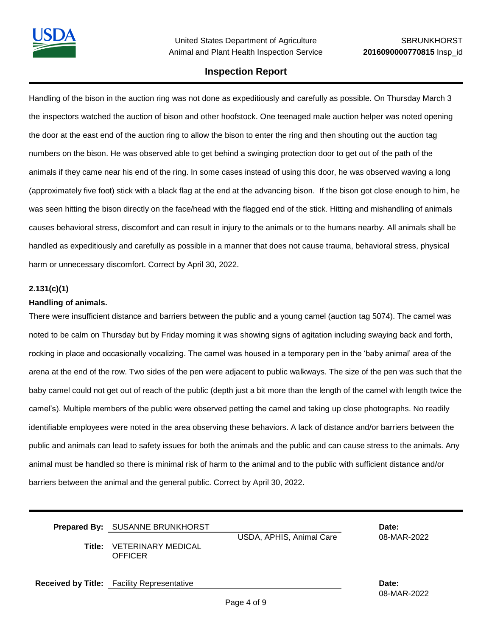Handling of the bison in the auction ring was not done as expeditiously and carefully as possible. On Thursday March 3 the inspectors watched the auction of bison and other hoofstock. One teenaged male auction helper was noted opening the door at the east end of the auction ring to allow the bison to enter the ring and then shouting out the auction tag numbers on the bison. He was observed able to get behind a swinging protection door to get out of the path of the animals if they came near his end of the ring. In some cases instead of using this door, he was observed waving a long (approximately five foot) stick with a black flag at the end at the advancing bison. If the bison got close enough to him, he was seen hitting the bison directly on the face/head with the flagged end of the stick. Hitting and mishandling of animals causes behavioral stress, discomfort and can result in injury to the animals or to the humans nearby. All animals shall be handled as expeditiously and carefully as possible in a manner that does not cause trauma, behavioral stress, physical harm or unnecessary discomfort. Correct by April 30, 2022.

## **2.131(c)(1)**

## **Handling of animals.**

There were insufficient distance and barriers between the public and a young camel (auction tag 5074). The camel was noted to be calm on Thursday but by Friday morning it was showing signs of agitation including swaying back and forth, rocking in place and occasionally vocalizing. The camel was housed in a temporary pen in the 'baby animal' area of the arena at the end of the row. Two sides of the pen were adjacent to public walkways. The size of the pen was such that the baby camel could not get out of reach of the public (depth just a bit more than the length of the camel with length twice the camel's). Multiple members of the public were observed petting the camel and taking up close photographs. No readily identifiable employees were noted in the area observing these behaviors. A lack of distance and/or barriers between the public and animals can lead to safety issues for both the animals and the public and can cause stress to the animals. Any animal must be handled so there is minimal risk of harm to the animal and to the public with sufficient distance and/or barriers between the animal and the general public. Correct by April 30, 2022.

| <b>Prepared By: SUSANNE BRUNKHORST</b>             |                          | Date:       |
|----------------------------------------------------|--------------------------|-------------|
| <b>Title: VETERINARY MEDICAL</b><br><b>OFFICER</b> | USDA, APHIS, Animal Care | 08-MAR-2022 |

**Received by Title:** Facility Representative **Date:**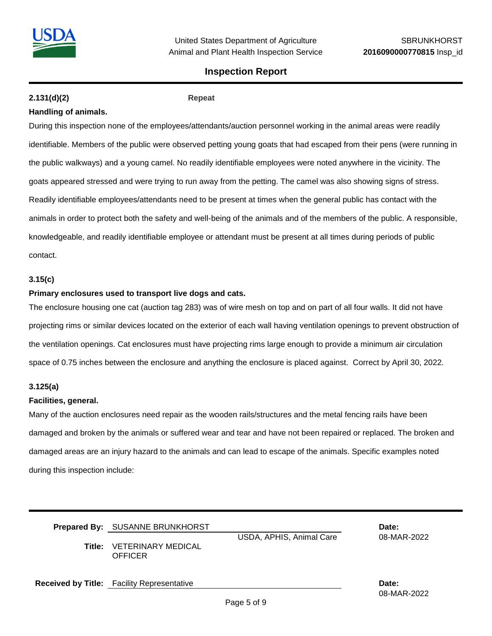

## **2.131(d)(2) Repeat**

## **Handling of animals.**

During this inspection none of the employees/attendants/auction personnel working in the animal areas were readily identifiable. Members of the public were observed petting young goats that had escaped from their pens (were running in the public walkways) and a young camel. No readily identifiable employees were noted anywhere in the vicinity. The goats appeared stressed and were trying to run away from the petting. The camel was also showing signs of stress. Readily identifiable employees/attendants need to be present at times when the general public has contact with the animals in order to protect both the safety and well-being of the animals and of the members of the public. A responsible, knowledgeable, and readily identifiable employee or attendant must be present at all times during periods of public contact.

### **3.15(c)**

#### **Primary enclosures used to transport live dogs and cats.**

The enclosure housing one cat (auction tag 283) was of wire mesh on top and on part of all four walls. It did not have projecting rims or similar devices located on the exterior of each wall having ventilation openings to prevent obstruction of the ventilation openings. Cat enclosures must have projecting rims large enough to provide a minimum air circulation space of 0.75 inches between the enclosure and anything the enclosure is placed against. Correct by April 30, 2022.

#### **3.125(a)**

#### **Facilities, general.**

Many of the auction enclosures need repair as the wooden rails/structures and the metal fencing rails have been damaged and broken by the animals or suffered wear and tear and have not been repaired or replaced. The broken and damaged areas are an injury hazard to the animals and can lead to escape of the animals. Specific examples noted during this inspection include:

| Prepared By: SUSANNE BRUNKHORST<br><b>Title: VETERINARY MEDICAL</b><br><b>OFFICER</b> | USDA, APHIS, Animal Care | Date:<br>08-MAR-2022 |  |
|---------------------------------------------------------------------------------------|--------------------------|----------------------|--|
| <b>Received by Title:</b> Facility Representative                                     |                          | Date:<br>08-MAR-2022 |  |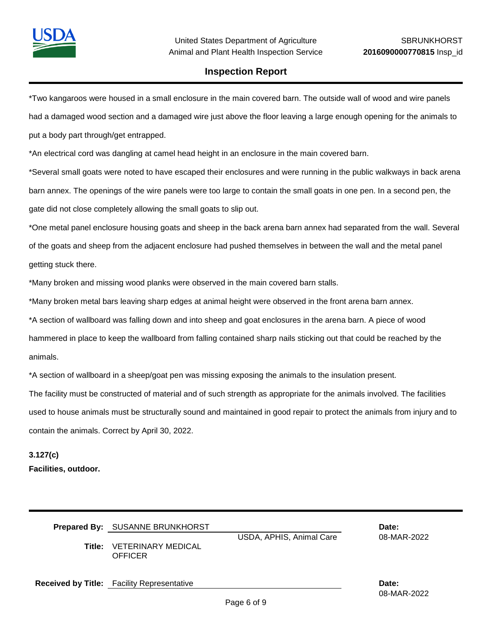

\*Two kangaroos were housed in a small enclosure in the main covered barn. The outside wall of wood and wire panels had a damaged wood section and a damaged wire just above the floor leaving a large enough opening for the animals to put a body part through/get entrapped.

\*An electrical cord was dangling at camel head height in an enclosure in the main covered barn.

\*Several small goats were noted to have escaped their enclosures and were running in the public walkways in back arena barn annex. The openings of the wire panels were too large to contain the small goats in one pen. In a second pen, the gate did not close completely allowing the small goats to slip out.

\*One metal panel enclosure housing goats and sheep in the back arena barn annex had separated from the wall. Several of the goats and sheep from the adjacent enclosure had pushed themselves in between the wall and the metal panel getting stuck there.

\*Many broken and missing wood planks were observed in the main covered barn stalls.

\*Many broken metal bars leaving sharp edges at animal height were observed in the front arena barn annex.

\*A section of wallboard was falling down and into sheep and goat enclosures in the arena barn. A piece of wood

hammered in place to keep the wallboard from falling contained sharp nails sticking out that could be reached by the

animals.

\*A section of wallboard in a sheep/goat pen was missing exposing the animals to the insulation present.

The facility must be constructed of material and of such strength as appropriate for the animals involved. The facilities

used to house animals must be structurally sound and maintained in good repair to protect the animals from injury and to contain the animals. Correct by April 30, 2022.

# **3.127(c) Facilities, outdoor.**

| Title: | Prepared By: SUSANNE BRUNKHORST<br>VETERINARY MEDICAL<br>OFFICER | USDA, APHIS, Animal Care | Date:<br>08-MAR-2022 |  |
|--------|------------------------------------------------------------------|--------------------------|----------------------|--|
|        | <b>Received by Title:</b> Facility Representative                |                          | Date:<br>08-MAR-2022 |  |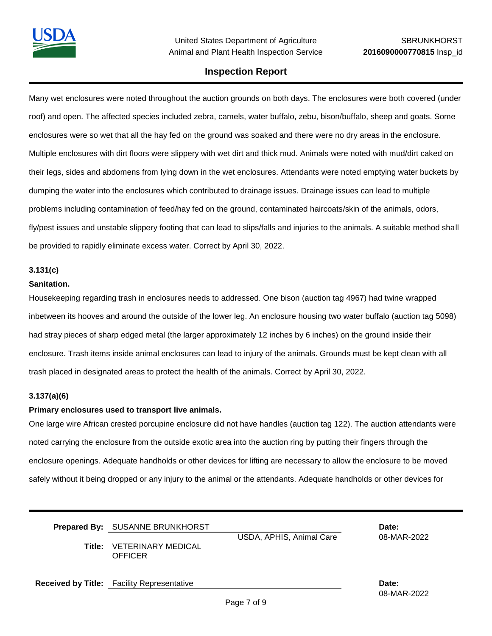Many wet enclosures were noted throughout the auction grounds on both days. The enclosures were both covered (under roof) and open. The affected species included zebra, camels, water buffalo, zebu, bison/buffalo, sheep and goats. Some enclosures were so wet that all the hay fed on the ground was soaked and there were no dry areas in the enclosure. Multiple enclosures with dirt floors were slippery with wet dirt and thick mud. Animals were noted with mud/dirt caked on their legs, sides and abdomens from lying down in the wet enclosures. Attendants were noted emptying water buckets by dumping the water into the enclosures which contributed to drainage issues. Drainage issues can lead to multiple problems including contamination of feed/hay fed on the ground, contaminated haircoats/skin of the animals, odors, fly/pest issues and unstable slippery footing that can lead to slips/falls and injuries to the animals. A suitable method shall be provided to rapidly eliminate excess water. Correct by April 30, 2022.

#### **3.131(c)**

#### **Sanitation.**

Housekeeping regarding trash in enclosures needs to addressed. One bison (auction tag 4967) had twine wrapped inbetween its hooves and around the outside of the lower leg. An enclosure housing two water buffalo (auction tag 5098) had stray pieces of sharp edged metal (the larger approximately 12 inches by 6 inches) on the ground inside their enclosure. Trash items inside animal enclosures can lead to injury of the animals. Grounds must be kept clean with all trash placed in designated areas to protect the health of the animals. Correct by April 30, 2022.

#### **3.137(a)(6)**

#### **Primary enclosures used to transport live animals.**

One large wire African crested porcupine enclosure did not have handles (auction tag 122). The auction attendants were noted carrying the enclosure from the outside exotic area into the auction ring by putting their fingers through the enclosure openings. Adequate handholds or other devices for lifting are necessary to allow the enclosure to be moved safely without it being dropped or any injury to the animal or the attendants. Adequate handholds or other devices for

| <b>Prepared By: SUSANNE BRUNKHORST</b>      |                          | Date:       |
|---------------------------------------------|--------------------------|-------------|
|                                             | USDA, APHIS, Animal Care | 08-MAR-2022 |
| Title: VETERINARY MEDICAL<br><b>OFFICER</b> |                          |             |
|                                             |                          |             |

**Received by Title:** Facility Representative **Date:**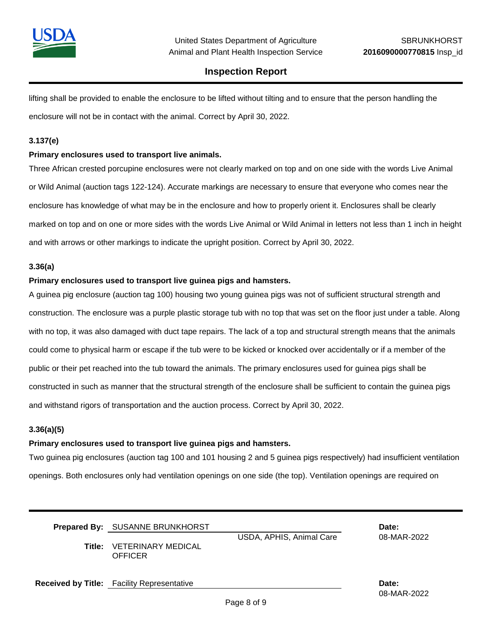

lifting shall be provided to enable the enclosure to be lifted without tilting and to ensure that the person handling the enclosure will not be in contact with the animal. Correct by April 30, 2022.

#### **3.137(e)**

#### **Primary enclosures used to transport live animals.**

Three African crested porcupine enclosures were not clearly marked on top and on one side with the words Live Animal or Wild Animal (auction tags 122-124). Accurate markings are necessary to ensure that everyone who comes near the enclosure has knowledge of what may be in the enclosure and how to properly orient it. Enclosures shall be clearly marked on top and on one or more sides with the words Live Animal or Wild Animal in letters not less than 1 inch in height and with arrows or other markings to indicate the upright position. Correct by April 30, 2022.

#### **3.36(a)**

#### **Primary enclosures used to transport live guinea pigs and hamsters.**

A guinea pig enclosure (auction tag 100) housing two young guinea pigs was not of sufficient structural strength and construction. The enclosure was a purple plastic storage tub with no top that was set on the floor just under a table. Along with no top, it was also damaged with duct tape repairs. The lack of a top and structural strength means that the animals could come to physical harm or escape if the tub were to be kicked or knocked over accidentally or if a member of the public or their pet reached into the tub toward the animals. The primary enclosures used for guinea pigs shall be constructed in such as manner that the structural strength of the enclosure shall be sufficient to contain the guinea pigs and withstand rigors of transportation and the auction process. Correct by April 30, 2022.

#### **3.36(a)(5)**

#### **Primary enclosures used to transport live guinea pigs and hamsters.**

Two guinea pig enclosures (auction tag 100 and 101 housing 2 and 5 guinea pigs respectively) had insufficient ventilation openings. Both enclosures only had ventilation openings on one side (the top). Ventilation openings are required on

| <b>Prepared By: SUSANNE BRUNKHORST</b>             |                          | Date:       |
|----------------------------------------------------|--------------------------|-------------|
| <b>Title: VETERINARY MEDICAL</b><br><b>OFFICER</b> | USDA, APHIS, Animal Care | 08-MAR-2022 |

**Received by Title:** Facility Representative **Date:**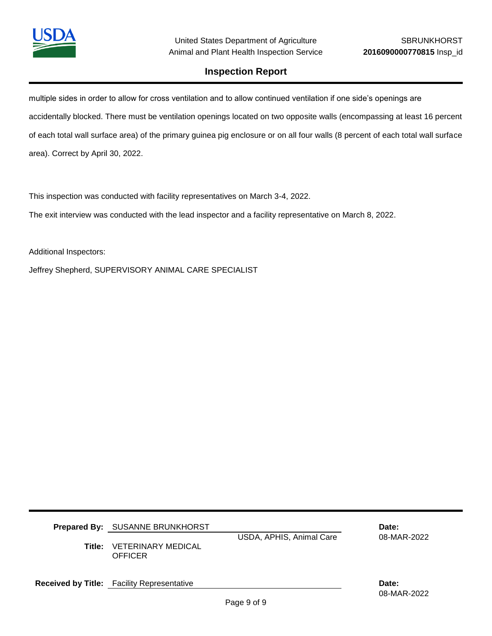

multiple sides in order to allow for cross ventilation and to allow continued ventilation if one side's openings are accidentally blocked. There must be ventilation openings located on two opposite walls (encompassing at least 16 percent of each total wall surface area) of the primary guinea pig enclosure or on all four walls (8 percent of each total wall surface area). Correct by April 30, 2022.

This inspection was conducted with facility representatives on March 3-4, 2022.

The exit interview was conducted with the lead inspector and a facility representative on March 8, 2022.

Additional Inspectors:

Jeffrey Shepherd, SUPERVISORY ANIMAL CARE SPECIALIST

| <b>Prepared By: SUSANNE BRUNKHORST</b><br><b>Title: VETERINARY MEDICAL</b><br>OFFICER | USDA, APHIS, Animal Care | Date:<br>08-MAR-2022 |  |
|---------------------------------------------------------------------------------------|--------------------------|----------------------|--|
| <b>Received by Title:</b> Facility Representative                                     |                          | Date:                |  |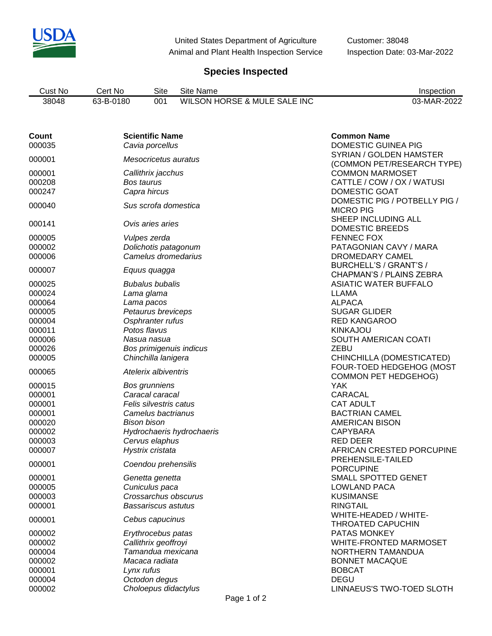

United States Department of Agriculture Customer: 38048 Animal and Plant Health Inspection Service Inspection Date: 03-Mar-2022

# **Species Inspected**

| Cust No | ۔ert No   | Site | Site Name                    | Inspection  |
|---------|-----------|------|------------------------------|-------------|
| 38048   | 63-B-0180 | 001  | WILSON HORSE & MULE SALE INC | 03-MAR-2022 |

| Count<br>000035            | <b>Scientific Name</b><br>Cavia porcellus                   | <b>Common Name</b><br><b>DOMESTIC GUINEA PIG</b>                      |
|----------------------------|-------------------------------------------------------------|-----------------------------------------------------------------------|
| 000001                     | Mesocricetus auratus                                        | SYRIAN / GOLDEN HAMSTER<br>(COMMON PET/RESEARCH TYPE)                 |
| 000001<br>000208<br>000247 | Callithrix jacchus<br>Bos taurus<br>Capra hircus            | <b>COMMON MARMOSET</b><br>CATTLE / COW / OX / WATUSI<br>DOMESTIC GOAT |
| 000040                     | Sus scrofa domestica                                        | DOMESTIC PIG / POTBELLY PIG /<br><b>MICRO PIG</b>                     |
| 000141                     | Ovis aries aries                                            | SHEEP INCLUDING ALL<br><b>DOMESTIC BREEDS</b>                         |
| 000005<br>000002<br>000006 | Vulpes zerda<br>Dolichotis patagonum<br>Camelus dromedarius | <b>FENNEC FOX</b><br>PATAGONIAN CAVY / MARA<br>DROMEDARY CAMEL        |
| 000007                     | Equus quagga                                                | BURCHELL'S / GRANT'S /<br>CHAPMAN'S / PLAINS ZEBRA                    |
| 000025<br>000024           | <b>Bubalus bubalis</b><br>Lama glama                        | <b>ASIATIC WATER BUFFALO</b><br><b>LLAMA</b>                          |
| 000064<br>000005<br>000004 | Lama pacos<br>Petaurus breviceps<br>Osphranter rufus        | <b>ALPACA</b><br><b>SUGAR GLIDER</b><br><b>RED KANGAROO</b>           |
| 000011<br>000006           | Potos flavus<br>Nasua nasua                                 | <b>KINKAJOU</b><br>SOUTH AMERICAN COATI                               |
| 000026<br>000005           | Bos primigenuis indicus<br>Chinchilla lanigera              | ZEBU<br>CHINCHILLA (DOMESTICATED)                                     |
| 000065                     | Atelerix albiventris                                        | FOUR-TOED HEDGEHOG (MOST<br><b>COMMON PET HEDGEHOG)</b>               |
| 000015                     | <b>Bos grunniens</b>                                        | <b>YAK</b>                                                            |
| 000001                     | Caracal caracal                                             | <b>CARACAL</b>                                                        |
| 000001                     | Felis silvestris catus                                      | <b>CAT ADULT</b>                                                      |
| 000001                     | Camelus bactrianus                                          | <b>BACTRIAN CAMEL</b>                                                 |
| 000020                     | <b>Bison bison</b>                                          | <b>AMERICAN BISON</b>                                                 |
| 000002                     | Hydrochaeris hydrochaeris                                   | <b>CAPYBARA</b>                                                       |
| 000003                     | Cervus elaphus                                              | <b>RED DEER</b>                                                       |
| 000007                     | Hystrix cristata                                            | AFRICAN CRESTED PORCUPINE<br>PREHENSILE-TAILED                        |
| 000001<br>000001           | Coendou prehensilis<br>Genetta genetta                      | <b>PORCUPINE</b><br>SMALL SPOTTED GENET                               |
|                            |                                                             |                                                                       |
| 000005                     | Cuniculus paca                                              | LOWLAND PACA                                                          |
| 000003                     | Crossarchus obscurus                                        | <b>KUSIMANSE</b>                                                      |
| 000001<br>000001           | Bassariscus astutus<br>Cebus capucinus                      | <b>RINGTAIL</b><br>WHITE-HEADED / WHITE-                              |
| 000002                     | Erythrocebus patas                                          | <b>THROATED CAPUCHIN</b><br>PATAS MONKEY                              |
| 000002                     | Callithrix geoffroyi                                        | <b>WHITE-FRONTED MARMOSET</b>                                         |
| 000004                     | Tamandua mexicana                                           | NORTHERN TAMANDUA                                                     |
| 000002                     | Macaca radiata                                              | <b>BONNET MACAQUE</b>                                                 |
|                            |                                                             |                                                                       |
| 000001                     | Lynx rufus                                                  | <b>BOBCAT</b>                                                         |
| 000004<br>000002           | Octodon degus<br>Choloepus didactylus                       | <b>DEGU</b><br>LINNAEUS'S TWO-TOED SLOTH                              |